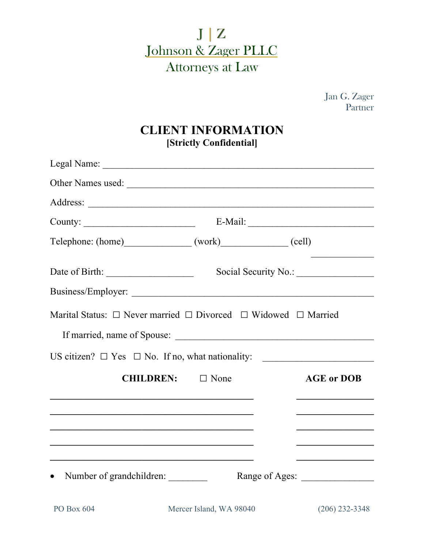

Jan G. Zager Partner

## **CLIENT INFORMATION [Strictly Confidential]**

| Other Names used:                                                                                                    |                         |                                                                |
|----------------------------------------------------------------------------------------------------------------------|-------------------------|----------------------------------------------------------------|
|                                                                                                                      |                         |                                                                |
| County: $\qquad \qquad$                                                                                              |                         |                                                                |
| Telephone: (home) (work) (work) (cell)                                                                               |                         |                                                                |
|                                                                                                                      |                         |                                                                |
|                                                                                                                      |                         |                                                                |
| Marital Status: $\Box$ Never married $\Box$ Divorced $\Box$ Widowed $\Box$ Married<br>If married, name of Spouse:    |                         |                                                                |
| US citizen? $\Box$ Yes $\Box$ No. If no, what nationality:                                                           |                         | <u> 1980 - Jan Barbara, manazarta bashkar </u>                 |
| CHILDREN: □ None                                                                                                     |                         | <b>AGE or DOB</b>                                              |
| and the control of the control of the control of the control of the control of the control of the control of the     |                         |                                                                |
|                                                                                                                      |                         |                                                                |
|                                                                                                                      |                         | <u> 1990 - Johann John Stoff, market francouzski filozof (</u> |
| <u> 1989 - Johann John Stein, markin fan it ferskearre fan it ferskearre fan it ferskearre fan it ferskearre fan</u> |                         |                                                                |
| Number of grandchildren:                                                                                             |                         | Range of Ages:                                                 |
| PO Box 604                                                                                                           | Mercer Island, WA 98040 | $(206)$ 232-3348                                               |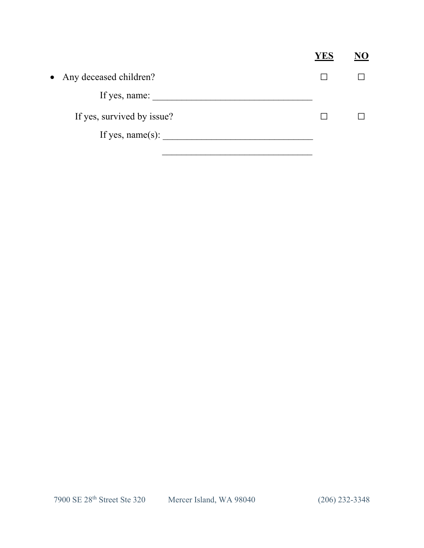|                            |              | JO) |
|----------------------------|--------------|-----|
| • Any deceased children?   | <b>Tarat</b> |     |
| If yes, name:              |              |     |
| If yes, survived by issue? |              |     |
| If yes, name $(s)$ :       |              |     |
|                            |              |     |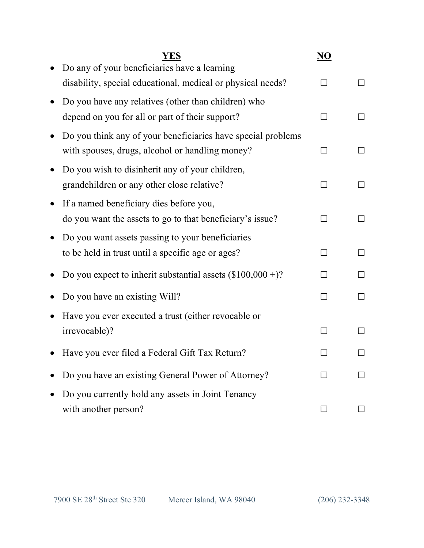| <b>YES</b>                                                   | NO           |        |
|--------------------------------------------------------------|--------------|--------|
| Do any of your beneficiaries have a learning                 |              |        |
| disability, special educational, medical or physical needs?  |              |        |
| Do you have any relatives (other than children) who          |              |        |
| depend on you for all or part of their support?              | $\mathbf{I}$ |        |
| Do you think any of your beneficiaries have special problems |              |        |
| with spouses, drugs, alcohol or handling money?              |              | ΙI     |
| Do you wish to disinherit any of your children,              |              |        |
| grandchildren or any other close relative?                   |              |        |
| If a named beneficiary dies before you,                      |              |        |
| do you want the assets to go to that beneficiary's issue?    |              |        |
| Do you want assets passing to your beneficiaries             |              |        |
| to be held in trust until a specific age or ages?            |              |        |
| Do you expect to inherit substantial assets $(\$100,000+)$ ? |              | $\Box$ |
| Do you have an existing Will?                                | ΙI           | П      |
| Have you ever executed a trust (either revocable or          |              |        |
| irrevocable)?                                                |              |        |
| Have you ever filed a Federal Gift Tax Return?               |              |        |
| Do you have an existing General Power of Attorney?           |              |        |
| Do you currently hold any assets in Joint Tenancy            |              |        |
| with another person?                                         |              |        |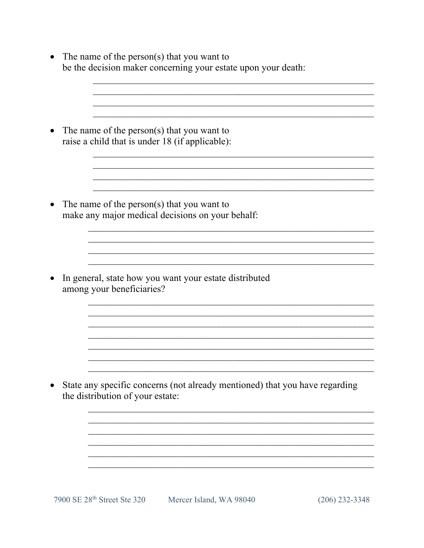| The name of the person(s) that you want to<br>be the decision maker concerning your estate upon your death: |
|-------------------------------------------------------------------------------------------------------------|
| The name of the person(s) that you want to<br>raise a child that is under 18 (if applicable):               |
| The name of the person(s) that you want to<br>make any major medical decisions on your behalf:              |
| In general, state how you want your estate distributed<br>among your beneficiaries?                         |
| State any specific concerns (not already mentioned) that you have regarding                                 |
| the distribution of your estate:                                                                            |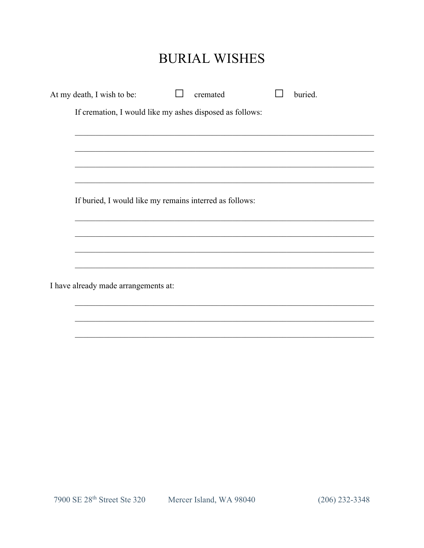## **BURIAL WISHES**

|                                                          | At my death, I wish to be:           | cremated | buried. |
|----------------------------------------------------------|--------------------------------------|----------|---------|
| If cremation, I would like my ashes disposed as follows: |                                      |          |         |
|                                                          |                                      |          |         |
|                                                          |                                      |          |         |
|                                                          |                                      |          |         |
|                                                          |                                      |          |         |
| If buried, I would like my remains interred as follows:  |                                      |          |         |
|                                                          |                                      |          |         |
|                                                          |                                      |          |         |
|                                                          |                                      |          |         |
|                                                          | I have already made arrangements at: |          |         |
|                                                          |                                      |          |         |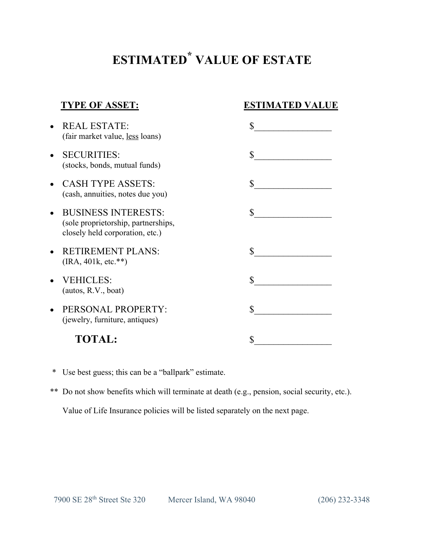## **ESTIMATED \* VALUE OF ESTATE**

| <b>TYPE OF ASSET:</b>                                                                                | <b>ESTIMATED VALUE</b>                            |
|------------------------------------------------------------------------------------------------------|---------------------------------------------------|
| <b>REAL ESTATE:</b><br>(fair market value, less loans)                                               | \$                                                |
| <b>SECURITIES:</b><br>(stocks, bonds, mutual funds)                                                  | $\mathbb{S}$<br>the control of the control of the |
| <b>CASH TYPE ASSETS:</b><br>(cash, annuities, notes due you)                                         | \$                                                |
| <b>BUSINESS INTERESTS:</b><br>(sole proprietorship, partnerships,<br>closely held corporation, etc.) | \$                                                |
| <b>RETIREMENT PLANS:</b><br>$(IRA, 401k, etc. **)$                                                   | \$                                                |
| <b>VEHICLES:</b><br>(autos, R.V., boat)                                                              | $\mathbf{\hat{S}}$                                |
| PERSONAL PROPERTY:<br>(jewelry, furniture, antiques)                                                 | \$                                                |
| <b>TOTAL:</b>                                                                                        | \$                                                |

- \* Use best guess; this can be a "ballpark" estimate.
- \*\* Do not show benefits which will terminate at death (e.g., pension, social security, etc.).

Value of Life Insurance policies will be listed separately on the next page.